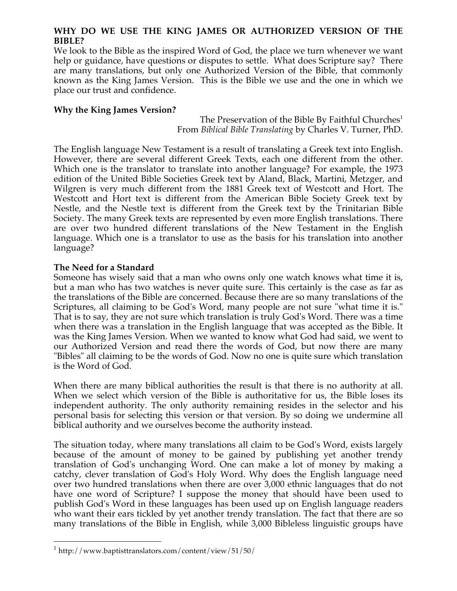## **WHY DO WE USE THE KING JAMES OR AUTHORIZED VERSION OF THE BIBLE?**

We look to the Bible as the inspired Word of God, the place we turn whenever we want help or guidance, have questions or disputes to settle. What does Scripture say? There are many translations, but only one Authorized Version of the Bible, that commonly known as the King James Version. This is the Bible we use and the one in which we place our trust and confidence.

# **Why the King James Version?**

The Preservation of the Bible By Faithful Churches<sup>1</sup> From *Biblical Bible Translating* by Charles V. Turner, PhD.

The English language New Testament is a result of translating a Greek text into English. However, there are several different Greek Texts, each one different from the other. Which one is the translator to translate into another language? For example, the 1973 edition of the United Bible Societies Greek text by Aland, Black, Martini, Metzger, and Wilgren is very much different from the 1881 Greek text of Westcott and Hort. The Westcott and Hort text is different from the American Bible Society Greek text by Nestle, and the Nestle text is different from the Greek text by the Trinitarian Bible Society. The many Greek texts are represented by even more English translations. There are over two hundred different translations of the New Testament in the English language. Which one is a translator to use as the basis for his translation into another language?

# **The Need for a Standard**

Someone has wisely said that a man who owns only one watch knows what time it is, but a man who has two watches is never quite sure. This certainly is the case as far as the translations of the Bible are concerned. Because there are so many translations of the Scriptures, all claiming to be God's Word, many people are not sure "what time it is." That is to say, they are not sure which translation is truly God's Word. There was a time when there was a translation in the English language that was accepted as the Bible. It was the King James Version. When we wanted to know what God had said, we went to our Authorized Version and read there the words of God, but now there are many "Bibles" all claiming to be the words of God. Now no one is quite sure which translation is the Word of God.

When there are many biblical authorities the result is that there is no authority at all. When we select which version of the Bible is authoritative for us, the Bible loses its independent authority. The only authority remaining resides in the selector and his personal basis for selecting this version or that version. By so doing we undermine all biblical authority and we ourselves become the authority instead.

The situation today, where many translations all claim to be God's Word, exists largely because of the amount of money to be gained by publishing yet another trendy translation of God's unchanging Word. One can make a lot of money by making a catchy, clever translation of God's Holy Word. Why does the English language need over two hundred translations when there are over 3,000 ethnic languages that do not have one word of Scripture? I suppose the money that should have been used to publish God's Word in these languages has been used up on English language readers who want their ears tickled by yet another trendy translation. The fact that there are so many translations of the Bible in English, while 3,000 Bibleless linguistic groups have

 $1$  http://www.baptisttranslators.com/content/view/51/50/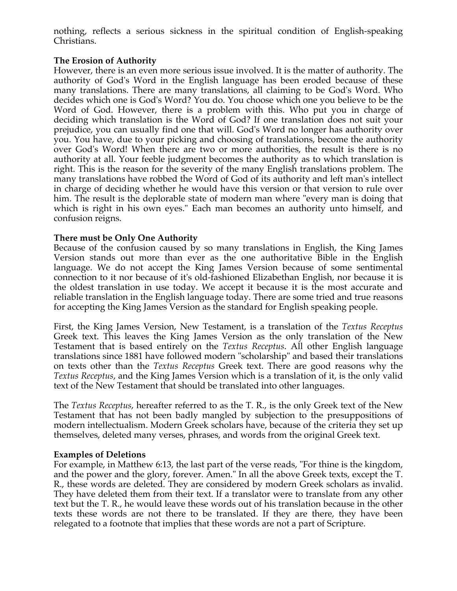nothing, reflects a serious sickness in the spiritual condition of English-speaking Christians.

# **The Erosion of Authority**

However, there is an even more serious issue involved. It is the matter of authority. The authority of God's Word in the English language has been eroded because of these many translations. There are many translations, all claiming to be God's Word. Who decides which one is God's Word? You do. You choose which one you believe to be the Word of God. However, there is a problem with this. Who put you in charge of deciding which translation is the Word of God? If one translation does not suit your prejudice, you can usually find one that will. God's Word no longer has authority over you. You have, due to your picking and choosing of translations, become the authority over God's Word! When there are two or more authorities, the result is there is no authority at all. Your feeble judgment becomes the authority as to which translation is right. This is the reason for the severity of the many English translations problem. The many translations have robbed the Word of God of its authority and left man's intellect in charge of deciding whether he would have this version or that version to rule over him. The result is the deplorable state of modern man where "every man is doing that which is right in his own eyes." Each man becomes an authority unto himself, and confusion reigns.

# **There must be Only One Authority**

Because of the confusion caused by so many translations in English, the King James Version stands out more than ever as the one authoritative Bible in the English language. We do not accept the King James Version because of some sentimental connection to it nor because of it's old-fashioned Elizabethan English, nor because it is the oldest translation in use today. We accept it because it is the most accurate and reliable translation in the English language today. There are some tried and true reasons for accepting the King James Version as the standard for English speaking people.

First, the King James Version, New Testament, is a translation of the *Textus Receptus* Greek text. This leaves the King James Version as the only translation of the New Testament that is based entirely on the *Textus Receptus*. All other English language translations since 1881 have followed modern "scholarship" and based their translations on texts other than the *Textus Receptus* Greek text. There are good reasons why the *Textus Receptus*, and the King James Version which is a translation of it, is the only valid text of the New Testament that should be translated into other languages.

The *Textus Receptus*, hereafter referred to as the T. R., is the only Greek text of the New Testament that has not been badly mangled by subjection to the presuppositions of modern intellectualism. Modern Greek scholars have, because of the criteria they set up themselves, deleted many verses, phrases, and words from the original Greek text.

# **Examples of Deletions**

For example, in Matthew 6:13, the last part of the verse reads, "For thine is the kingdom, and the power and the glory, forever. Amen." In all the above Greek texts, except the T. R., these words are deleted. They are considered by modern Greek scholars as invalid. They have deleted them from their text. If a translator were to translate from any other text but the T. R., he would leave these words out of his translation because in the other texts these words are not there to be translated. If they are there, they have been relegated to a footnote that implies that these words are not a part of Scripture.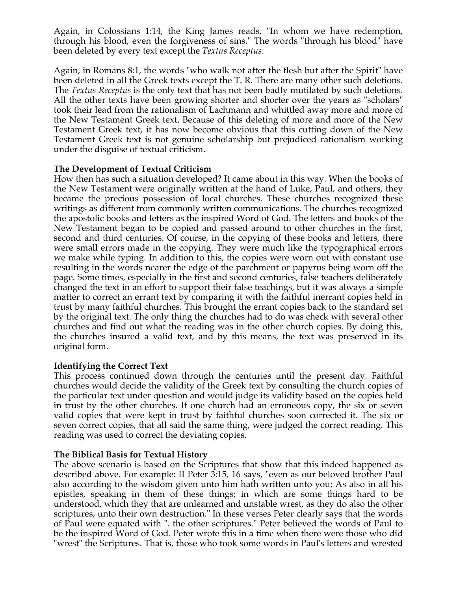Again, in Colossians 1:14, the King James reads, "In whom we have redemption, through his blood, even the forgiveness of sins." The words "through his blood" have been deleted by every text except the *Textus Receptus*.

Again, in Romans 8:1, the words "who walk not after the flesh but after the Spirit" have been deleted in all the Greek texts except the T. R. There are many other such deletions. The *Textus Receptus* is the only text that has not been badly mutilated by such deletions. All the other texts have been growing shorter and shorter over the years as "scholars" took their lead from the rationalism of Lachmann and whittled away more and more of the New Testament Greek text. Because of this deleting of more and more of the New Testament Greek text, it has now become obvious that this cutting down of the New Testament Greek text is not genuine scholarship but prejudiced rationalism working under the disguise of textual criticism.

## **The Development of Textual Criticism**

How then has such a situation developed? It came about in this way. When the books of the New Testament were originally written at the hand of Luke, Paul, and others, they became the precious possession of local churches. These churches recognized these writings as different from commonly written communications. The churches recognized the apostolic books and letters as the inspired Word of God. The letters and books of the New Testament began to be copied and passed around to other churches in the first, second and third centuries. Of course, in the copying of these books and letters, there were small errors made in the copying. They were much like the typographical errors we make while typing. In addition to this, the copies were worn out with constant use resulting in the words nearer the edge of the parchment or papyrus being worn off the page. Some times, especially in the first and second centuries, false teachers deliberately changed the text in an effort to support their false teachings, but it was always a simple matter to correct an errant text by comparing it with the faithful inerrant copies held in trust by many faithful churches. This brought the errant copies back to the standard set by the original text. The only thing the churches had to do was check with several other churches and find out what the reading was in the other church copies. By doing this, the churches insured a valid text, and by this means, the text was preserved in its original form.

# **Identifying the Correct Text**

This process continued down through the centuries until the present day. Faithful churches would decide the validity of the Greek text by consulting the church copies of the particular text under question and would judge its validity based on the copies held in trust by the other churches. If one church had an erroneous copy, the six or seven valid copies that were kept in trust by faithful churches soon corrected it. The six or seven correct copies, that all said the same thing, were judged the correct reading. This reading was used to correct the deviating copies.

### **The Biblical Basis for Textual History**

The above scenario is based on the Scriptures that show that this indeed happened as described above. For example: II Peter 3:15, 16 says, "even as our beloved brother Paul also according to the wisdom given unto him hath written unto you; As also in all his epistles, speaking in them of these things; in which are some things hard to be understood, which they that are unlearned and unstable wrest, as they do also the other scriptures, unto their own destruction." In these verses Peter clearly says that the words of Paul were equated with ". the other scriptures." Peter believed the words of Paul to be the inspired Word of God. Peter wrote this in a time when there were those who did "wrest" the Scriptures. That is, those who took some words in Paul's letters and wrested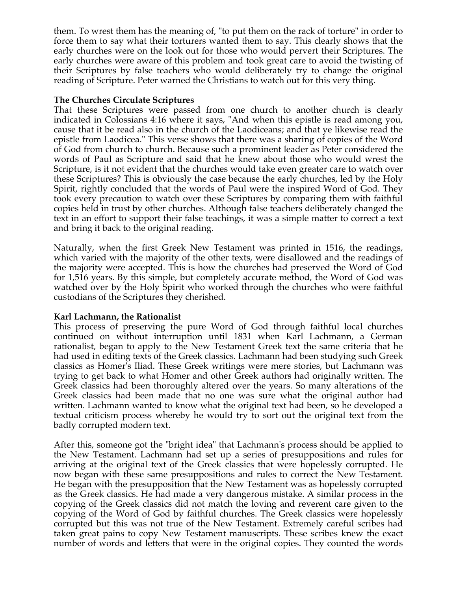them. To wrest them has the meaning of, "to put them on the rack of torture" in order to force them to say what their torturers wanted them to say. This clearly shows that the early churches were on the look out for those who would pervert their Scriptures. The early churches were aware of this problem and took great care to avoid the twisting of their Scriptures by false teachers who would deliberately try to change the original reading of Scripture. Peter warned the Christians to watch out for this very thing.

## **The Churches Circulate Scriptures**

That these Scriptures were passed from one church to another church is clearly indicated in Colossians 4:16 where it says, "And when this epistle is read among you, cause that it be read also in the church of the Laodiceans; and that ye likewise read the epistle from Laodicea." This verse shows that there was a sharing of copies of the Word of God from church to church. Because such a prominent leader as Peter considered the words of Paul as Scripture and said that he knew about those who would wrest the Scripture, is it not evident that the churches would take even greater care to watch over these Scriptures? This is obviously the case because the early churches, led by the Holy Spirit, rightly concluded that the words of Paul were the inspired Word of God. They took every precaution to watch over these Scriptures by comparing them with faithful copies held in trust by other churches. Although false teachers deliberately changed the text in an effort to support their false teachings, it was a simple matter to correct a text and bring it back to the original reading.

Naturally, when the first Greek New Testament was printed in 1516, the readings, which varied with the majority of the other texts, were disallowed and the readings of the majority were accepted. This is how the churches had preserved the Word of God for 1,516 years. By this simple, but completely accurate method, the Word of God was watched over by the Holy Spirit who worked through the churches who were faithful custodians of the Scriptures they cherished.

### **Karl Lachmann, the Rationalist**

This process of preserving the pure Word of God through faithful local churches continued on without interruption until 1831 when Karl Lachmann, a German rationalist, began to apply to the New Testament Greek text the same criteria that he had used in editing texts of the Greek classics. Lachmann had been studying such Greek classics as Homer's Iliad. These Greek writings were mere stories, but Lachmann was trying to get back to what Homer and other Greek authors had originally written. The Greek classics had been thoroughly altered over the years. So many alterations of the Greek classics had been made that no one was sure what the original author had written. Lachmann wanted to know what the original text had been, so he developed a textual criticism process whereby he would try to sort out the original text from the badly corrupted modern text.

After this, someone got the "bright idea" that Lachmann's process should be applied to the New Testament. Lachmann had set up a series of presuppositions and rules for arriving at the original text of the Greek classics that were hopelessly corrupted. He now began with these same presuppositions and rules to correct the New Testament. He began with the presupposition that the New Testament was as hopelessly corrupted as the Greek classics. He had made a very dangerous mistake. A similar process in the copying of the Greek classics did not match the loving and reverent care given to the copying of the Word of God by faithful churches. The Greek classics were hopelessly corrupted but this was not true of the New Testament. Extremely careful scribes had taken great pains to copy New Testament manuscripts. These scribes knew the exact number of words and letters that were in the original copies. They counted the words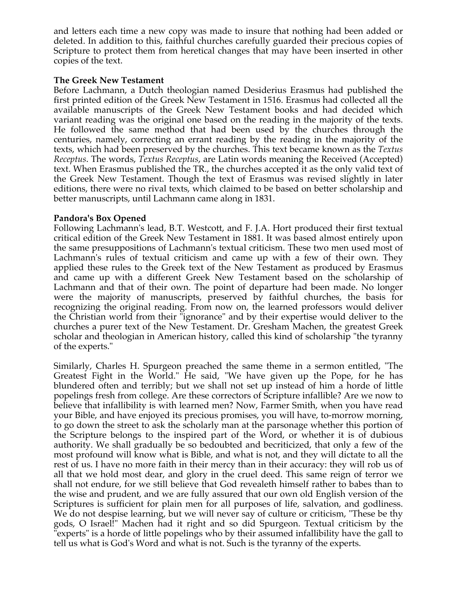and letters each time a new copy was made to insure that nothing had been added or deleted. In addition to this, faithful churches carefully guarded their precious copies of Scripture to protect them from heretical changes that may have been inserted in other copies of the text.

### **The Greek New Testament**

Before Lachmann, a Dutch theologian named Desiderius Erasmus had published the first printed edition of the Greek New Testament in 1516. Erasmus had collected all the available manuscripts of the Greek New Testament books and had decided which variant reading was the original one based on the reading in the majority of the texts. He followed the same method that had been used by the churches through the centuries, namely, correcting an errant reading by the reading in the majority of the texts, which had been preserved by the churches. This text became known as the *Textus Receptus*. The words, *Textus Receptus*, are Latin words meaning the Received (Accepted) text. When Erasmus published the TR., the churches accepted it as the only valid text of the Greek New Testament. Though the text of Erasmus was revised slightly in later editions, there were no rival texts, which claimed to be based on better scholarship and better manuscripts, until Lachmann came along in 1831.

## **Pandora's Box Opened**

Following Lachmann's lead, B.T. Westcott, and F. J.A. Hort produced their first textual critical edition of the Greek New Testament in 1881. It was based almost entirely upon the same presuppositions of Lachmann's textual criticism. These two men used most of Lachmann's rules of textual criticism and came up with a few of their own. They applied these rules to the Greek text of the New Testament as produced by Erasmus and came up with a different Greek New Testament based on the scholarship of Lachmann and that of their own. The point of departure had been made. No longer were the majority of manuscripts, preserved by faithful churches, the basis for recognizing the original reading. From now on, the learned professors would deliver the Christian world from their "ignorance" and by their expertise would deliver to the churches a purer text of the New Testament. Dr. Gresham Machen, the greatest Greek scholar and theologian in American history, called this kind of scholarship "the tyranny of the experts."

Similarly, Charles H. Spurgeon preached the same theme in a sermon entitled, "The Greatest Fight in the World." He said, "We have given up the Pope, for he has blundered often and terribly; but we shall not set up instead of him a horde of little popelings fresh from college. Are these correctors of Scripture infallible? Are we now to believe that infallibility is with learned men? Now, Farmer Smith, when you have read your Bible, and have enjoyed its precious promises, you will have, to-morrow morning, to go down the street to ask the scholarly man at the parsonage whether this portion of the Scripture belongs to the inspired part of the Word, or whether it is of dubious authority. We shall gradually be so bedoubted and becriticized, that only a few of the most profound will know what is Bible, and what is not, and they will dictate to all the rest of us. I have no more faith in their mercy than in their accuracy: they will rob us of all that we hold most dear, and glory in the cruel deed. This same reign of terror we shall not endure, for we still believe that God revealeth himself rather to babes than to the wise and prudent, and we are fully assured that our own old English version of the Scriptures is sufficient for plain men for all purposes of life, salvation, and godliness. We do not despise learning, but we will never say of culture or criticism, "These be thy gods, O Israel!" Machen had it right and so did Spurgeon. Textual criticism by the "experts" is a horde of little popelings who by their assumed infallibility have the gall to tell us what is God's Word and what is not. Such is the tyranny of the experts.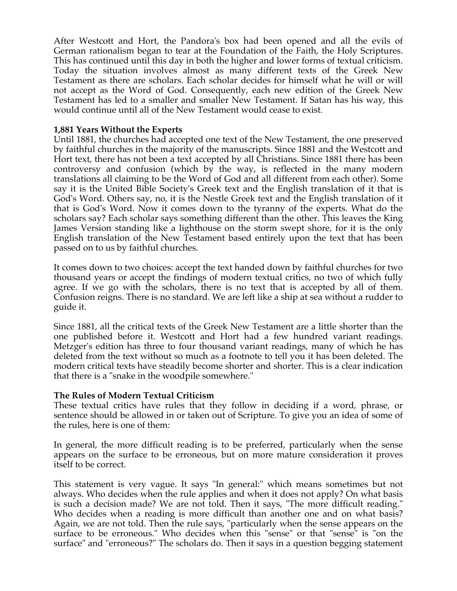After Westcott and Hort, the Pandora's box had been opened and all the evils of German rationalism began to tear at the Foundation of the Faith, the Holy Scriptures. This has continued until this day in both the higher and lower forms of textual criticism. Today the situation involves almost as many different texts of the Greek New Testament as there are scholars. Each scholar decides for himself what he will or will not accept as the Word of God. Consequently, each new edition of the Greek New Testament has led to a smaller and smaller New Testament. If Satan has his way, this would continue until all of the New Testament would cease to exist.

### **1,881 Years Without the Experts**

Until 1881, the churches had accepted one text of the New Testament, the one preserved by faithful churches in the majority of the manuscripts. Since 1881 and the Westcott and Hort text, there has not been a text accepted by all Christians. Since 1881 there has been controversy and confusion (which by the way, is reflected in the many modern translations all claiming to be the Word of God and all different from each other). Some say it is the United Bible Society's Greek text and the English translation of it that is God's Word. Others say, no, it is the Nestle Greek text and the English translation of it that is God's Word. Now it comes down to the tyranny of the experts. What do the scholars say? Each scholar says something different than the other. This leaves the King James Version standing like a lighthouse on the storm swept shore, for it is the only English translation of the New Testament based entirely upon the text that has been passed on to us by faithful churches.

It comes down to two choices: accept the text handed down by faithful churches for two thousand years or accept the findings of modern textual critics, no two of which fully agree. If we go with the scholars, there is no text that is accepted by all of them. Confusion reigns. There is no standard. We are left like a ship at sea without a rudder to guide it.

Since 1881, all the critical texts of the Greek New Testament are a little shorter than the one published before it. Westcott and Hort had a few hundred variant readings. Metzger's edition has three to four thousand variant readings, many of which he has deleted from the text without so much as a footnote to tell you it has been deleted. The modern critical texts have steadily become shorter and shorter. This is a clear indication that there is a "snake in the woodpile somewhere."

### **The Rules of Modern Textual Criticism**

These textual critics have rules that they follow in deciding if a word, phrase, or sentence should be allowed in or taken out of Scripture. To give you an idea of some of the rules, here is one of them:

In general, the more difficult reading is to be preferred, particularly when the sense appears on the surface to be erroneous, but on more mature consideration it proves itself to be correct.

This statement is very vague. It says "In general:" which means sometimes but not always. Who decides when the rule applies and when it does not apply? On what basis is such a decision made? We are not told. Then it says, "The more difficult reading." Who decides when a reading is more difficult than another one and on what basis? Again, we are not told. Then the rule says, "particularly when the sense appears on the surface to be erroneous." Who decides when this "sense" or that "sense" is "on the surface" and "erroneous?" The scholars do. Then it says in a question begging statement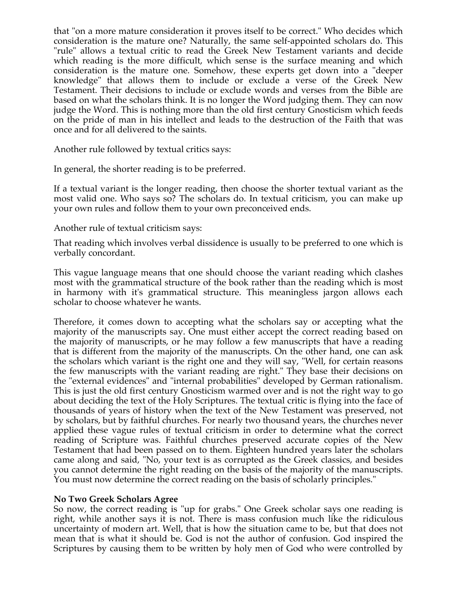that "on a more mature consideration it proves itself to be correct." Who decides which consideration is the mature one? Naturally, the same self-appointed scholars do. This "rule" allows a textual critic to read the Greek New Testament variants and decide which reading is the more difficult, which sense is the surface meaning and which consideration is the mature one. Somehow, these experts get down into a "deeper knowledge" that allows them to include or exclude a verse of the Greek New Testament. Their decisions to include or exclude words and verses from the Bible are based on what the scholars think. It is no longer the Word judging them. They can now judge the Word. This is nothing more than the old first century Gnosticism which feeds on the pride of man in his intellect and leads to the destruction of the Faith that was once and for all delivered to the saints.

Another rule followed by textual critics says:

In general, the shorter reading is to be preferred.

If a textual variant is the longer reading, then choose the shorter textual variant as the most valid one. Who says so? The scholars do. In textual criticism, you can make up your own rules and follow them to your own preconceived ends.

Another rule of textual criticism says:

That reading which involves verbal dissidence is usually to be preferred to one which is verbally concordant.

This vague language means that one should choose the variant reading which clashes most with the grammatical structure of the book rather than the reading which is most in harmony with it's grammatical structure. This meaningless jargon allows each scholar to choose whatever he wants.

Therefore, it comes down to accepting what the scholars say or accepting what the majority of the manuscripts say. One must either accept the correct reading based on the majority of manuscripts, or he may follow a few manuscripts that have a reading that is different from the majority of the manuscripts. On the other hand, one can ask the scholars which variant is the right one and they will say, "Well, for certain reasons the few manuscripts with the variant reading are right." They base their decisions on the "external evidences" and "internal probabilities" developed by German rationalism. This is just the old first century Gnosticism warmed over and is not the right way to go about deciding the text of the Holy Scriptures. The textual critic is flying into the face of thousands of years of history when the text of the New Testament was preserved, not by scholars, but by faithful churches. For nearly two thousand years, the churches never applied these vague rules of textual criticism in order to determine what the correct reading of Scripture was. Faithful churches preserved accurate copies of the New Testament that had been passed on to them. Eighteen hundred years later the scholars came along and said, "No, your text is as corrupted as the Greek classics, and besides you cannot determine the right reading on the basis of the majority of the manuscripts. You must now determine the correct reading on the basis of scholarly principles."

# **No Two Greek Scholars Agree**

So now, the correct reading is "up for grabs." One Greek scholar says one reading is right, while another says it is not. There is mass confusion much like the ridiculous uncertainty of modern art. Well, that is how the situation came to be, but that does not mean that is what it should be. God is not the author of confusion. God inspired the Scriptures by causing them to be written by holy men of God who were controlled by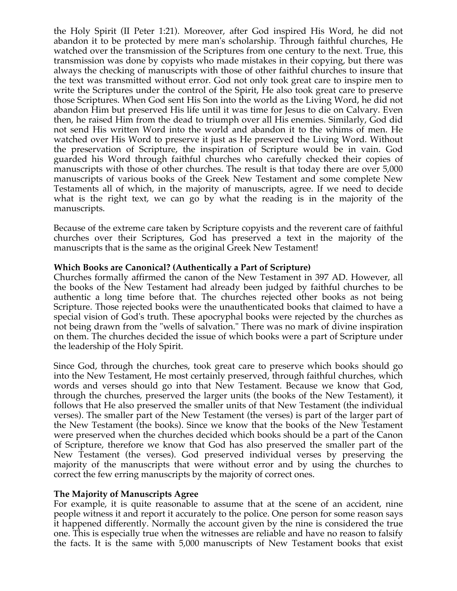the Holy Spirit (II Peter 1:21). Moreover, after God inspired His Word, he did not abandon it to be protected by mere man's scholarship. Through faithful churches, He watched over the transmission of the Scriptures from one century to the next. True, this transmission was done by copyists who made mistakes in their copying, but there was always the checking of manuscripts with those of other faithful churches to insure that the text was transmitted without error. God not only took great care to inspire men to write the Scriptures under the control of the Spirit, He also took great care to preserve those Scriptures. When God sent His Son into the world as the Living Word, he did not abandon Him but preserved His life until it was time for Jesus to die on Calvary. Even then, he raised Him from the dead to triumph over all His enemies. Similarly, God did not send His written Word into the world and abandon it to the whims of men. He watched over His Word to preserve it just as He preserved the Living Word. Without the preservation of Scripture, the inspiration of Scripture would be in vain. God guarded his Word through faithful churches who carefully checked their copies of manuscripts with those of other churches. The result is that today there are over 5,000 manuscripts of various books of the Greek New Testament and some complete New Testaments all of which, in the majority of manuscripts, agree. If we need to decide what is the right text, we can go by what the reading is in the majority of the manuscripts.

Because of the extreme care taken by Scripture copyists and the reverent care of faithful churches over their Scriptures, God has preserved a text in the majority of the manuscripts that is the same as the original Greek New Testament!

### **Which Books are Canonical? (Authentically a Part of Scripture)**

Churches formally affirmed the canon of the New Testament in 397 AD. However, all the books of the New Testament had already been judged by faithful churches to be authentic a long time before that. The churches rejected other books as not being Scripture. Those rejected books were the unauthenticated books that claimed to have a special vision of God's truth. These apocryphal books were rejected by the churches as not being drawn from the "wells of salvation." There was no mark of divine inspiration on them. The churches decided the issue of which books were a part of Scripture under the leadership of the Holy Spirit.

Since God, through the churches, took great care to preserve which books should go into the New Testament, He most certainly preserved, through faithful churches, which words and verses should go into that New Testament. Because we know that God, through the churches, preserved the larger units (the books of the New Testament), it follows that He also preserved the smaller units of that New Testament (the individual verses). The smaller part of the New Testament (the verses) is part of the larger part of the New Testament (the books). Since we know that the books of the New Testament were preserved when the churches decided which books should be a part of the Canon of Scripture, therefore we know that God has also preserved the smaller part of the New Testament (the verses). God preserved individual verses by preserving the majority of the manuscripts that were without error and by using the churches to correct the few erring manuscripts by the majority of correct ones.

### **The Majority of Manuscripts Agree**

For example, it is quite reasonable to assume that at the scene of an accident, nine people witness it and report it accurately to the police. One person for some reason says it happened differently. Normally the account given by the nine is considered the true one. This is especially true when the witnesses are reliable and have no reason to falsify the facts. It is the same with 5,000 manuscripts of New Testament books that exist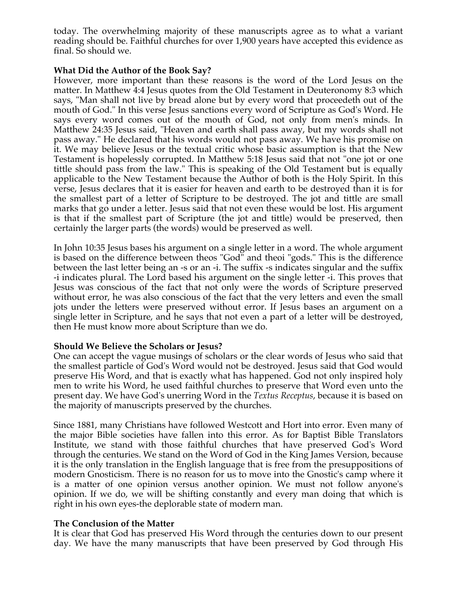today. The overwhelming majority of these manuscripts agree as to what a variant reading should be. Faithful churches for over 1,900 years have accepted this evidence as final. So should we.

### **What Did the Author of the Book Say?**

However, more important than these reasons is the word of the Lord Jesus on the matter. In Matthew 4:4 Jesus quotes from the Old Testament in Deuteronomy 8:3 which says, "Man shall not live by bread alone but by every word that proceedeth out of the mouth of God." In this verse Jesus sanctions every word of Scripture as God's Word. He says every word comes out of the mouth of God, not only from men's minds. In Matthew 24:35 Jesus said, "Heaven and earth shall pass away, but my words shall not pass away." He declared that his words would not pass away. We have his promise on it. We may believe Jesus or the textual critic whose basic assumption is that the New Testament is hopelessly corrupted. In Matthew 5:18 Jesus said that not "one jot or one tittle should pass from the law." This is speaking of the Old Testament but is equally applicable to the New Testament because the Author of both is the Holy Spirit. In this verse, Jesus declares that it is easier for heaven and earth to be destroyed than it is for the smallest part of a letter of Scripture to be destroyed. The jot and tittle are small marks that go under a letter. Jesus said that not even these would be lost. His argument is that if the smallest part of Scripture (the jot and tittle) would be preserved, then certainly the larger parts (the words) would be preserved as well.

In John 10:35 Jesus bases his argument on a single letter in a word. The whole argument is based on the difference between theos "God" and theoi "gods." This is the difference between the last letter being an -s or an -i. The suffix -s indicates singular and the suffix -i indicates plural. The Lord based his argument on the single letter -i. This proves that Jesus was conscious of the fact that not only were the words of Scripture preserved without error, he was also conscious of the fact that the very letters and even the small jots under the letters were preserved without error. If Jesus bases an argument on a single letter in Scripture, and he says that not even a part of a letter will be destroyed, then He must know more about Scripture than we do.

# **Should We Believe the Scholars or Jesus?**

One can accept the vague musings of scholars or the clear words of Jesus who said that the smallest particle of God's Word would not be destroyed. Jesus said that God would preserve His Word, and that is exactly what has happened. God not only inspired holy men to write his Word, he used faithful churches to preserve that Word even unto the present day. We have God's unerring Word in the *Textus Receptus*, because it is based on the majority of manuscripts preserved by the churches.

Since 1881, many Christians have followed Westcott and Hort into error. Even many of the major Bible societies have fallen into this error. As for Baptist Bible Translators Institute, we stand with those faithful churches that have preserved God's Word through the centuries. We stand on the Word of God in the King James Version, because it is the only translation in the English language that is free from the presuppositions of modern Gnosticism. There is no reason for us to move into the Gnostic's camp where it is a matter of one opinion versus another opinion. We must not follow anyone's opinion. If we do, we will be shifting constantly and every man doing that which is right in his own eyes-the deplorable state of modern man.

# **The Conclusion of the Matter**

It is clear that God has preserved His Word through the centuries down to our present day. We have the many manuscripts that have been preserved by God through His